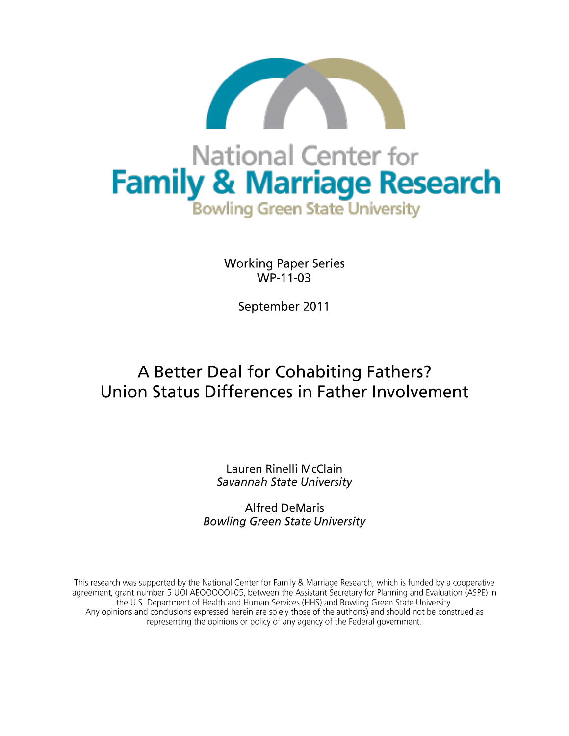

**Working Paper Series** WP-11-03

September 2011

# A Better Deal for Cohabiting Fathers? Union Status Differences in Father Involvement

Lauren Rinelli McClain Savannah State University

**Alfred DeMaris Bowling Green State University** 

This research was supported by the National Center for Family & Marriage Research, which is funded by a cooperative agreement, grant number 5 UOI AEOOOOOI-05, between the Assistant Secretary for Planning and Evaluation (ASPE) in the U.S. Department of Health and Human Services (HHS) and Bowling Green State University. Any opinions and conclusions expressed herein are solely those of the author(s) and should not be construed as representing the opinions or policy of any agency of the Federal government.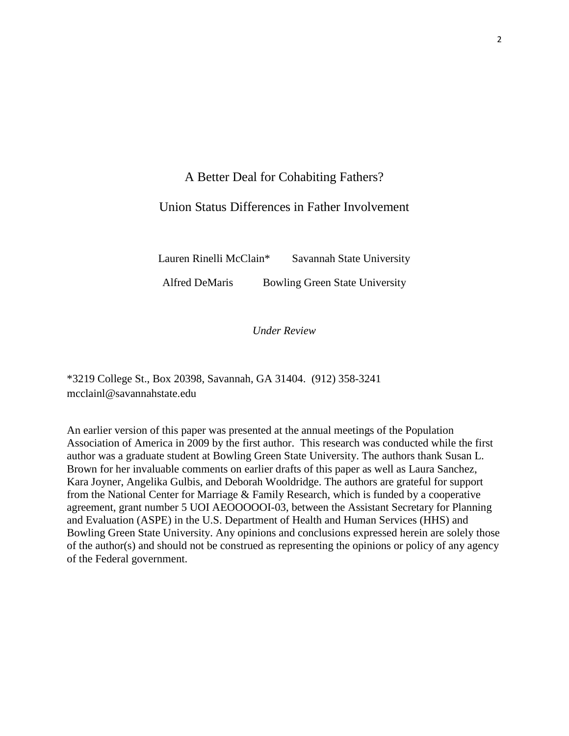# A Better Deal for Cohabiting Fathers?

# Union Status Differences in Father Involvement

Lauren Rinelli McClain\* Savannah State University

Alfred DeMaris Bowling Green State University

*Under Review*

\*3219 College St., Box 20398, Savannah, GA 31404. (912) 358-3241 mcclainl@savannahstate.edu

An earlier version of this paper was presented at the annual meetings of the Population Association of America in 2009 by the first author. This research was conducted while the first author was a graduate student at Bowling Green State University. The authors thank Susan L. Brown for her invaluable comments on earlier drafts of this paper as well as Laura Sanchez, Kara Joyner, Angelika Gulbis, and Deborah Wooldridge. The authors are grateful for support from the National Center for Marriage & Family Research, which is funded by a cooperative agreement, grant number 5 UOI AEOOOOOI-03, between the Assistant Secretary for Planning and Evaluation (ASPE) in the U.S. Department of Health and Human Services (HHS) and Bowling Green State University. Any opinions and conclusions expressed herein are solely those of the author(s) and should not be construed as representing the opinions or policy of any agency of the Federal government.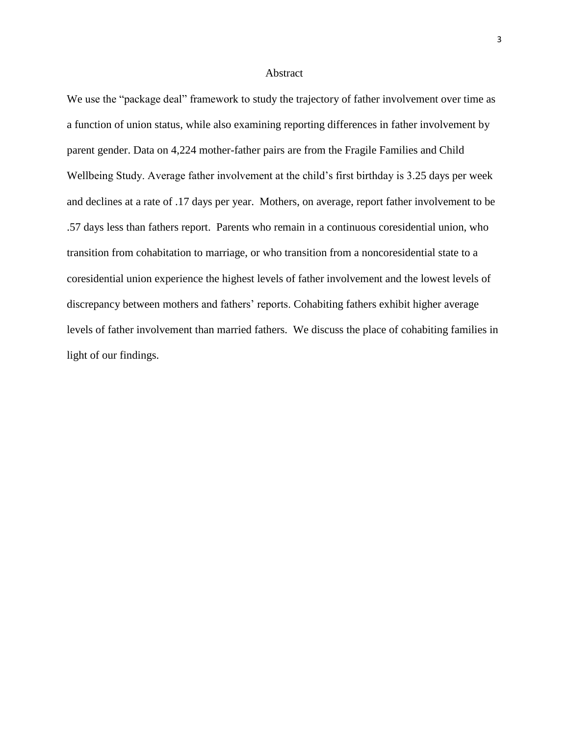#### Abstract

We use the "package deal" framework to study the trajectory of father involvement over time as a function of union status, while also examining reporting differences in father involvement by parent gender. Data on 4,224 mother-father pairs are from the Fragile Families and Child Wellbeing Study. Average father involvement at the child's first birthday is 3.25 days per week and declines at a rate of .17 days per year. Mothers, on average, report father involvement to be .57 days less than fathers report. Parents who remain in a continuous coresidential union, who transition from cohabitation to marriage, or who transition from a noncoresidential state to a coresidential union experience the highest levels of father involvement and the lowest levels of discrepancy between mothers and fathers' reports. Cohabiting fathers exhibit higher average levels of father involvement than married fathers. We discuss the place of cohabiting families in light of our findings.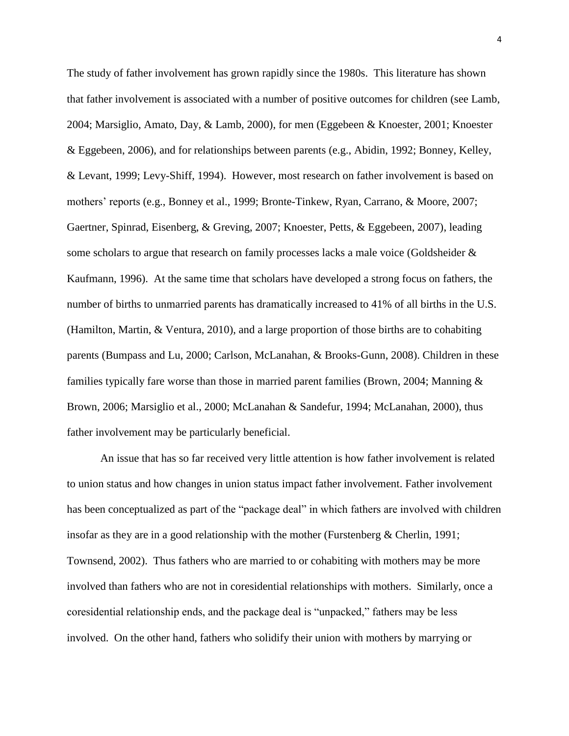The study of father involvement has grown rapidly since the 1980s. This literature has shown that father involvement is associated with a number of positive outcomes for children (see Lamb, 2004; Marsiglio, Amato, Day, & Lamb, 2000), for men (Eggebeen & Knoester, 2001; Knoester & Eggebeen, 2006), and for relationships between parents (e.g., Abidin, 1992; Bonney, Kelley, & Levant, 1999; Levy-Shiff, 1994). However, most research on father involvement is based on mothers' reports (e.g., Bonney et al., 1999; Bronte-Tinkew, Ryan, Carrano, & Moore, 2007; Gaertner, Spinrad, Eisenberg, & Greving, 2007; Knoester, Petts, & Eggebeen, 2007), leading some scholars to argue that research on family processes lacks a male voice (Goldsheider & Kaufmann, 1996). At the same time that scholars have developed a strong focus on fathers, the number of births to unmarried parents has dramatically increased to 41% of all births in the U.S. (Hamilton, Martin, & Ventura, 2010), and a large proportion of those births are to cohabiting parents (Bumpass and Lu, 2000; Carlson, McLanahan, & Brooks-Gunn, 2008). Children in these families typically fare worse than those in married parent families (Brown, 2004; Manning & Brown, 2006; Marsiglio et al., 2000; McLanahan & Sandefur, 1994; McLanahan, 2000), thus father involvement may be particularly beneficial.

An issue that has so far received very little attention is how father involvement is related to union status and how changes in union status impact father involvement. Father involvement has been conceptualized as part of the "package deal" in which fathers are involved with children insofar as they are in a good relationship with the mother (Furstenberg  $\&$  Cherlin, 1991; Townsend, 2002). Thus fathers who are married to or cohabiting with mothers may be more involved than fathers who are not in coresidential relationships with mothers. Similarly, once a coresidential relationship ends, and the package deal is "unpacked," fathers may be less involved. On the other hand, fathers who solidify their union with mothers by marrying or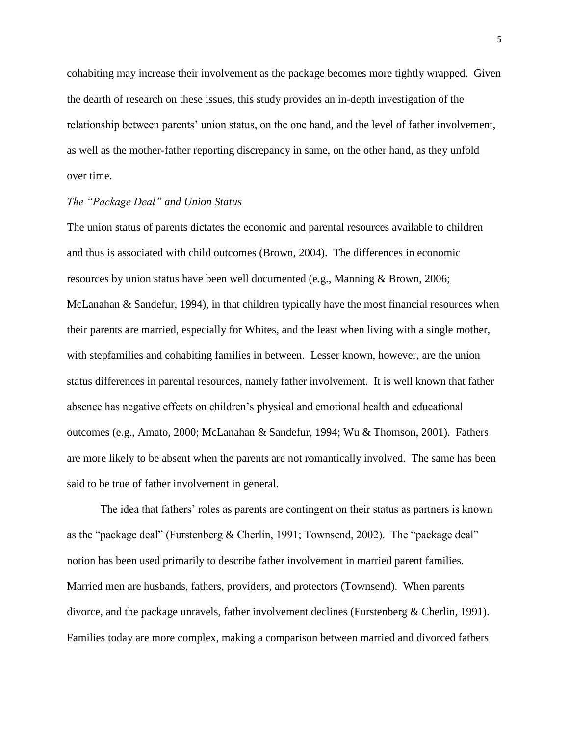cohabiting may increase their involvement as the package becomes more tightly wrapped. Given the dearth of research on these issues, this study provides an in-depth investigation of the relationship between parents' union status, on the one hand, and the level of father involvement, as well as the mother-father reporting discrepancy in same, on the other hand, as they unfold over time.

# *The "Package Deal" and Union Status*

The union status of parents dictates the economic and parental resources available to children and thus is associated with child outcomes (Brown, 2004). The differences in economic resources by union status have been well documented (e.g., Manning & Brown, 2006; McLanahan & Sandefur, 1994), in that children typically have the most financial resources when their parents are married, especially for Whites, and the least when living with a single mother, with stepfamilies and cohabiting families in between. Lesser known, however, are the union status differences in parental resources, namely father involvement. It is well known that father absence has negative effects on children's physical and emotional health and educational outcomes (e.g., Amato, 2000; McLanahan & Sandefur, 1994; Wu & Thomson, 2001). Fathers are more likely to be absent when the parents are not romantically involved. The same has been said to be true of father involvement in general.

The idea that fathers' roles as parents are contingent on their status as partners is known as the "package deal" (Furstenberg & Cherlin, 1991; Townsend, 2002). The "package deal" notion has been used primarily to describe father involvement in married parent families. Married men are husbands, fathers, providers, and protectors (Townsend). When parents divorce, and the package unravels, father involvement declines (Furstenberg & Cherlin, 1991). Families today are more complex, making a comparison between married and divorced fathers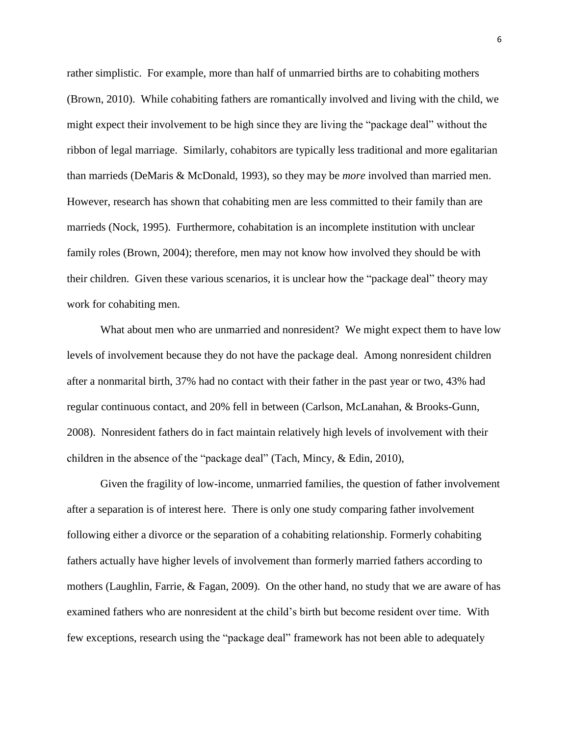rather simplistic. For example, more than half of unmarried births are to cohabiting mothers (Brown, 2010). While cohabiting fathers are romantically involved and living with the child, we might expect their involvement to be high since they are living the "package deal" without the ribbon of legal marriage. Similarly, cohabitors are typically less traditional and more egalitarian than marrieds (DeMaris & McDonald, 1993), so they may be *more* involved than married men. However, research has shown that cohabiting men are less committed to their family than are marrieds (Nock, 1995). Furthermore, cohabitation is an incomplete institution with unclear family roles (Brown, 2004); therefore, men may not know how involved they should be with their children. Given these various scenarios, it is unclear how the "package deal" theory may work for cohabiting men.

What about men who are unmarried and nonresident? We might expect them to have low levels of involvement because they do not have the package deal. Among nonresident children after a nonmarital birth, 37% had no contact with their father in the past year or two, 43% had regular continuous contact, and 20% fell in between (Carlson, McLanahan, & Brooks-Gunn, 2008). Nonresident fathers do in fact maintain relatively high levels of involvement with their children in the absence of the "package deal" (Tach, Mincy, & Edin, 2010),

Given the fragility of low-income, unmarried families, the question of father involvement after a separation is of interest here. There is only one study comparing father involvement following either a divorce or the separation of a cohabiting relationship. Formerly cohabiting fathers actually have higher levels of involvement than formerly married fathers according to mothers (Laughlin, Farrie, & Fagan, 2009). On the other hand, no study that we are aware of has examined fathers who are nonresident at the child's birth but become resident over time. With few exceptions, research using the "package deal" framework has not been able to adequately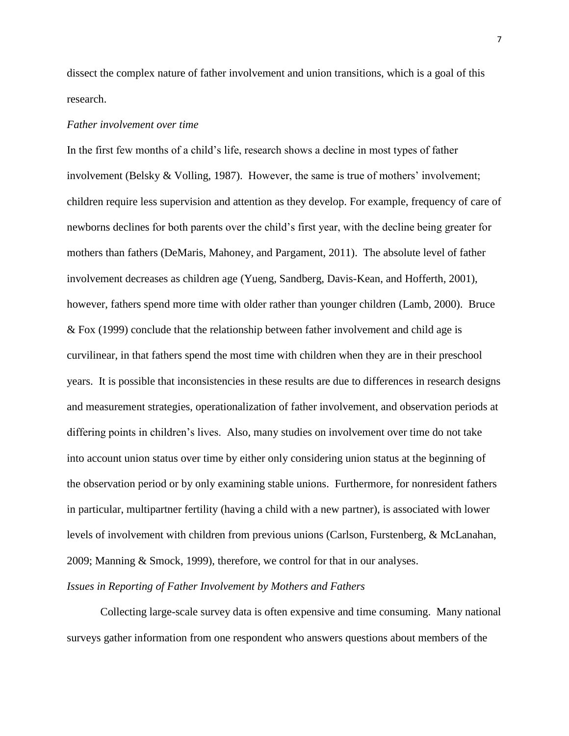dissect the complex nature of father involvement and union transitions, which is a goal of this research.

## *Father involvement over time*

In the first few months of a child's life, research shows a decline in most types of father involvement (Belsky & Volling, 1987). However, the same is true of mothers' involvement; children require less supervision and attention as they develop. For example, frequency of care of newborns declines for both parents over the child's first year, with the decline being greater for mothers than fathers (DeMaris, Mahoney, and Pargament, 2011). The absolute level of father involvement decreases as children age (Yueng, Sandberg, Davis-Kean, and Hofferth, 2001), however, fathers spend more time with older rather than younger children (Lamb, 2000). Bruce & Fox (1999) conclude that the relationship between father involvement and child age is curvilinear, in that fathers spend the most time with children when they are in their preschool years. It is possible that inconsistencies in these results are due to differences in research designs and measurement strategies, operationalization of father involvement, and observation periods at differing points in children's lives. Also, many studies on involvement over time do not take into account union status over time by either only considering union status at the beginning of the observation period or by only examining stable unions. Furthermore, for nonresident fathers in particular, multipartner fertility (having a child with a new partner), is associated with lower levels of involvement with children from previous unions (Carlson, Furstenberg, & McLanahan, 2009; Manning & Smock, 1999), therefore, we control for that in our analyses.

# *Issues in Reporting of Father Involvement by Mothers and Fathers*

Collecting large-scale survey data is often expensive and time consuming. Many national surveys gather information from one respondent who answers questions about members of the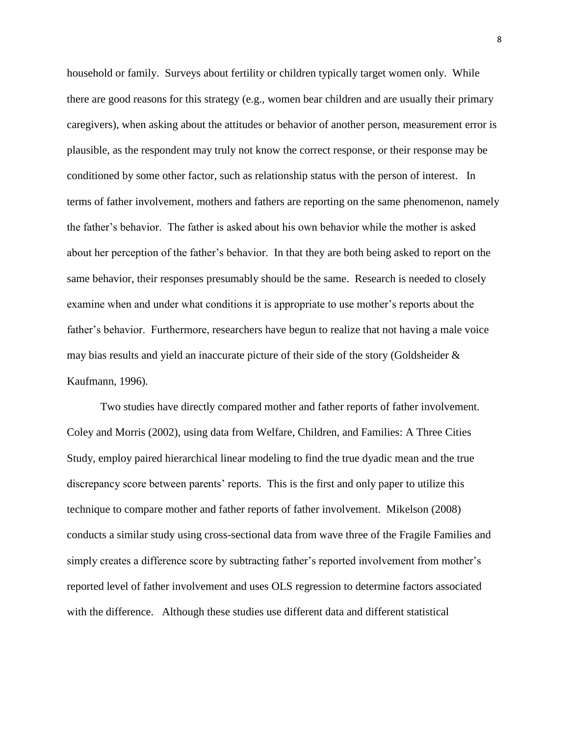household or family. Surveys about fertility or children typically target women only. While there are good reasons for this strategy (e.g., women bear children and are usually their primary caregivers), when asking about the attitudes or behavior of another person, measurement error is plausible, as the respondent may truly not know the correct response, or their response may be conditioned by some other factor, such as relationship status with the person of interest. In terms of father involvement, mothers and fathers are reporting on the same phenomenon, namely the father's behavior. The father is asked about his own behavior while the mother is asked about her perception of the father's behavior. In that they are both being asked to report on the same behavior, their responses presumably should be the same. Research is needed to closely examine when and under what conditions it is appropriate to use mother's reports about the father's behavior. Furthermore, researchers have begun to realize that not having a male voice may bias results and yield an inaccurate picture of their side of the story (Goldsheider & Kaufmann, 1996).

Two studies have directly compared mother and father reports of father involvement. Coley and Morris (2002), using data from Welfare, Children, and Families: A Three Cities Study, employ paired hierarchical linear modeling to find the true dyadic mean and the true discrepancy score between parents' reports. This is the first and only paper to utilize this technique to compare mother and father reports of father involvement. Mikelson (2008) conducts a similar study using cross-sectional data from wave three of the Fragile Families and simply creates a difference score by subtracting father's reported involvement from mother's reported level of father involvement and uses OLS regression to determine factors associated with the difference. Although these studies use different data and different statistical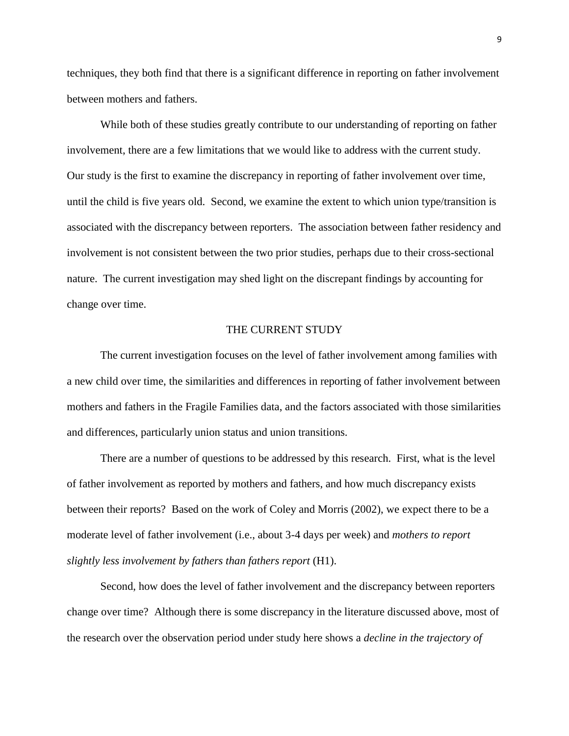techniques, they both find that there is a significant difference in reporting on father involvement between mothers and fathers.

 While both of these studies greatly contribute to our understanding of reporting on father involvement, there are a few limitations that we would like to address with the current study. Our study is the first to examine the discrepancy in reporting of father involvement over time, until the child is five years old. Second, we examine the extent to which union type/transition is associated with the discrepancy between reporters. The association between father residency and involvement is not consistent between the two prior studies, perhaps due to their cross-sectional nature. The current investigation may shed light on the discrepant findings by accounting for change over time.

# THE CURRENT STUDY

The current investigation focuses on the level of father involvement among families with a new child over time, the similarities and differences in reporting of father involvement between mothers and fathers in the Fragile Families data, and the factors associated with those similarities and differences, particularly union status and union transitions.

There are a number of questions to be addressed by this research. First, what is the level of father involvement as reported by mothers and fathers, and how much discrepancy exists between their reports? Based on the work of Coley and Morris (2002), we expect there to be a moderate level of father involvement (i.e., about 3-4 days per week) and *mothers to report slightly less involvement by fathers than fathers report* (H1).

Second, how does the level of father involvement and the discrepancy between reporters change over time? Although there is some discrepancy in the literature discussed above, most of the research over the observation period under study here shows a *decline in the trajectory of*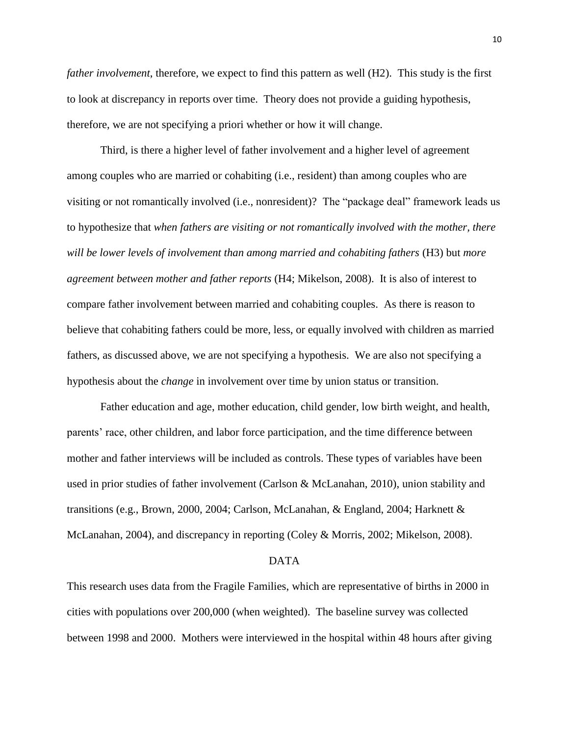*father involvement*, therefore, we expect to find this pattern as well (H2). This study is the first to look at discrepancy in reports over time. Theory does not provide a guiding hypothesis, therefore, we are not specifying a priori whether or how it will change.

Third, is there a higher level of father involvement and a higher level of agreement among couples who are married or cohabiting (i.e., resident) than among couples who are visiting or not romantically involved (i.e., nonresident)? The "package deal" framework leads us to hypothesize that *when fathers are visiting or not romantically involved with the mother, there will be lower levels of involvement than among married and cohabiting fathers* (H3) but *more agreement between mother and father reports* (H4; Mikelson, 2008). It is also of interest to compare father involvement between married and cohabiting couples. As there is reason to believe that cohabiting fathers could be more, less, or equally involved with children as married fathers, as discussed above, we are not specifying a hypothesis. We are also not specifying a hypothesis about the *change* in involvement over time by union status or transition.

Father education and age, mother education, child gender, low birth weight, and health, parents' race, other children, and labor force participation, and the time difference between mother and father interviews will be included as controls. These types of variables have been used in prior studies of father involvement (Carlson & McLanahan, 2010), union stability and transitions (e.g., Brown, 2000, 2004; Carlson, McLanahan, & England, 2004; Harknett & McLanahan, 2004), and discrepancy in reporting (Coley & Morris, 2002; Mikelson, 2008).

#### DATA

This research uses data from the Fragile Families, which are representative of births in 2000 in cities with populations over 200,000 (when weighted). The baseline survey was collected between 1998 and 2000. Mothers were interviewed in the hospital within 48 hours after giving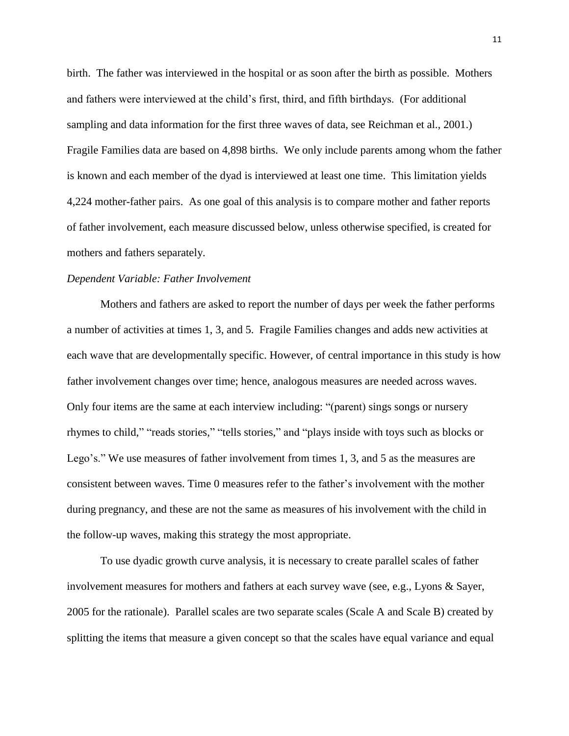birth. The father was interviewed in the hospital or as soon after the birth as possible. Mothers and fathers were interviewed at the child's first, third, and fifth birthdays. (For additional sampling and data information for the first three waves of data, see Reichman et al., 2001.) Fragile Families data are based on 4,898 births. We only include parents among whom the father is known and each member of the dyad is interviewed at least one time. This limitation yields 4,224 mother-father pairs. As one goal of this analysis is to compare mother and father reports of father involvement, each measure discussed below, unless otherwise specified, is created for mothers and fathers separately.

# *Dependent Variable: Father Involvement*

Mothers and fathers are asked to report the number of days per week the father performs a number of activities at times 1, 3, and 5. Fragile Families changes and adds new activities at each wave that are developmentally specific. However, of central importance in this study is how father involvement changes over time; hence, analogous measures are needed across waves. Only four items are the same at each interview including: "(parent) sings songs or nursery rhymes to child," "reads stories," "tells stories," and "plays inside with toys such as blocks or Lego's." We use measures of father involvement from times 1, 3, and 5 as the measures are consistent between waves. Time 0 measures refer to the father's involvement with the mother during pregnancy, and these are not the same as measures of his involvement with the child in the follow-up waves, making this strategy the most appropriate.

To use dyadic growth curve analysis, it is necessary to create parallel scales of father involvement measures for mothers and fathers at each survey wave (see, e.g., Lyons & Sayer, 2005 for the rationale). Parallel scales are two separate scales (Scale A and Scale B) created by splitting the items that measure a given concept so that the scales have equal variance and equal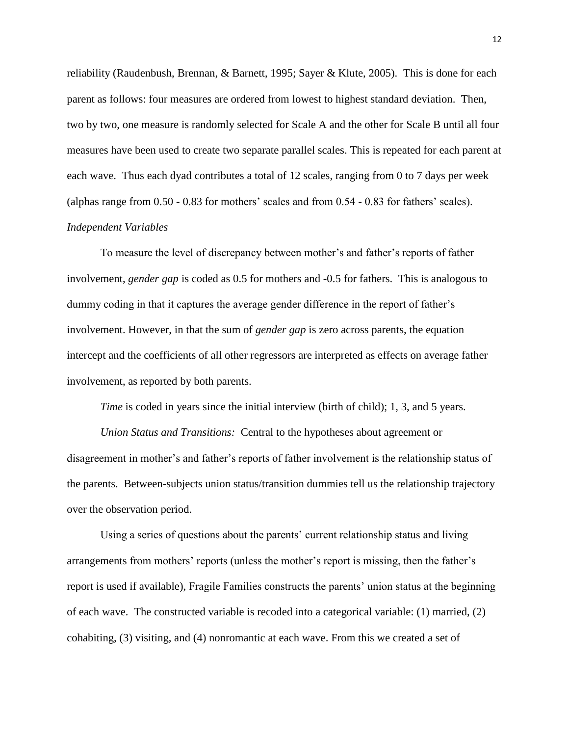reliability (Raudenbush, Brennan, & Barnett, 1995; Sayer & Klute, 2005). This is done for each parent as follows: four measures are ordered from lowest to highest standard deviation. Then, two by two, one measure is randomly selected for Scale A and the other for Scale B until all four measures have been used to create two separate parallel scales. This is repeated for each parent at each wave. Thus each dyad contributes a total of 12 scales, ranging from 0 to 7 days per week (alphas range from 0.50 - 0.83 for mothers' scales and from 0.54 - 0.83 for fathers' scales).

# *Independent Variables*

To measure the level of discrepancy between mother's and father's reports of father involvement, *gender gap* is coded as 0.5 for mothers and -0.5 for fathers. This is analogous to dummy coding in that it captures the average gender difference in the report of father's involvement. However, in that the sum of *gender gap* is zero across parents, the equation intercept and the coefficients of all other regressors are interpreted as effects on average father involvement, as reported by both parents.

*Time* is coded in years since the initial interview (birth of child); 1, 3, and 5 years.

*Union Status and Transitions:* Central to the hypotheses about agreement or disagreement in mother's and father's reports of father involvement is the relationship status of the parents. Between-subjects union status/transition dummies tell us the relationship trajectory over the observation period.

Using a series of questions about the parents' current relationship status and living arrangements from mothers' reports (unless the mother's report is missing, then the father's report is used if available), Fragile Families constructs the parents' union status at the beginning of each wave. The constructed variable is recoded into a categorical variable: (1) married, (2) cohabiting, (3) visiting, and (4) nonromantic at each wave. From this we created a set of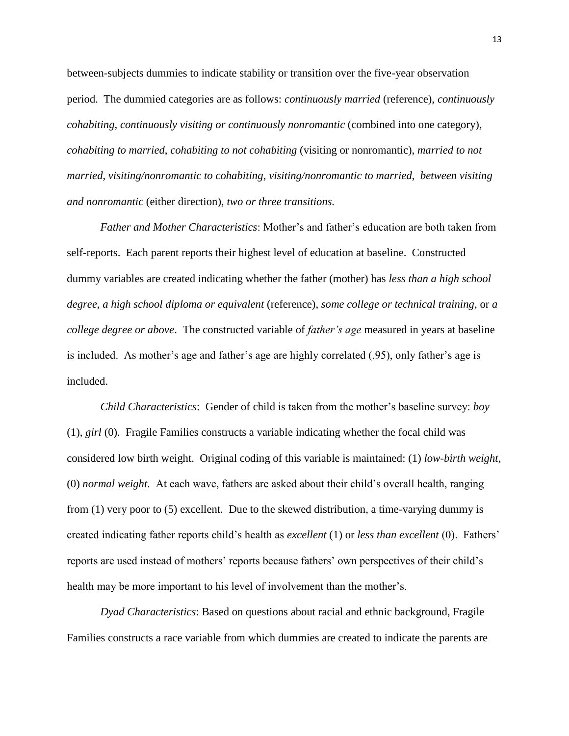between-subjects dummies to indicate stability or transition over the five-year observation period. The dummied categories are as follows: *continuously married* (reference), *continuously cohabiting*, *continuously visiting or continuously nonromantic* (combined into one category), *cohabiting to married*, *cohabiting to not cohabiting* (visiting or nonromantic), *married to not married*, *visiting/nonromantic to cohabiting*, *visiting/nonromantic to married*, *between visiting and nonromantic* (either direction), *two or three transitions.*

*Father and Mother Characteristics*: Mother's and father's education are both taken from self-reports. Each parent reports their highest level of education at baseline. Constructed dummy variables are created indicating whether the father (mother) has *less than a high school degree*, *a high school diploma or equivalent* (reference), *some college or technical training*, or *a college degree or above*. The constructed variable of *father's age* measured in years at baseline is included. As mother's age and father's age are highly correlated (.95), only father's age is included.

*Child Characteristics*: Gender of child is taken from the mother's baseline survey: *boy* (1), *girl* (0). Fragile Families constructs a variable indicating whether the focal child was considered low birth weight. Original coding of this variable is maintained: (1) *low-birth weight*, (0) *normal weight*. At each wave, fathers are asked about their child's overall health, ranging from (1) very poor to (5) excellent. Due to the skewed distribution, a time-varying dummy is created indicating father reports child's health as *excellent* (1) or *less than excellent* (0). Fathers' reports are used instead of mothers' reports because fathers' own perspectives of their child's health may be more important to his level of involvement than the mother's.

*Dyad Characteristics*: Based on questions about racial and ethnic background, Fragile Families constructs a race variable from which dummies are created to indicate the parents are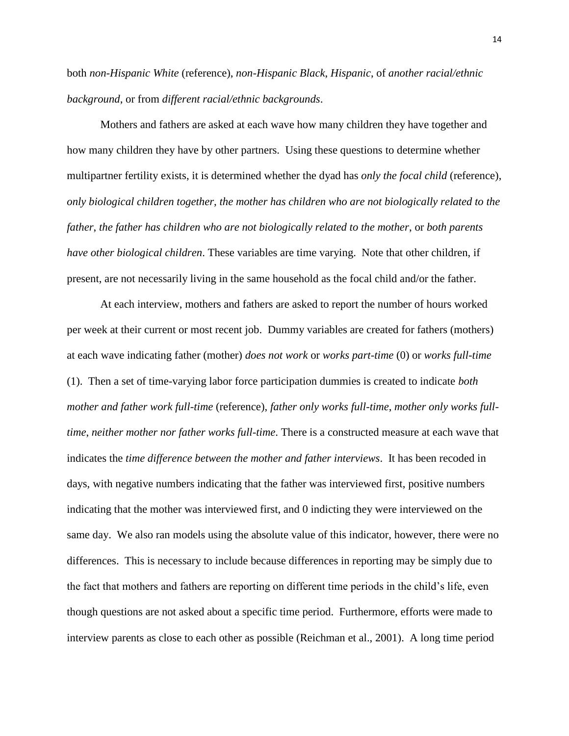both *non-Hispanic White* (reference), *non-Hispanic Black*, *Hispanic*, of *another racial/ethnic background*, or from *different racial/ethnic backgrounds*.

Mothers and fathers are asked at each wave how many children they have together and how many children they have by other partners. Using these questions to determine whether multipartner fertility exists, it is determined whether the dyad has *only the focal child* (reference), *only biological children together*, *the mother has children who are not biologically related to the father*, *the father has children who are not biologically related to the mother*, or *both parents have other biological children*. These variables are time varying. Note that other children, if present, are not necessarily living in the same household as the focal child and/or the father.

At each interview, mothers and fathers are asked to report the number of hours worked per week at their current or most recent job. Dummy variables are created for fathers (mothers) at each wave indicating father (mother) *does not work* or *works part-time* (0) or *works full-time* (1). Then a set of time-varying labor force participation dummies is created to indicate *both mother and father work full-time* (reference), *father only works full-time*, *mother only works fulltime*, *neither mother nor father works full-time*. There is a constructed measure at each wave that indicates the *time difference between the mother and father interviews*. It has been recoded in days, with negative numbers indicating that the father was interviewed first, positive numbers indicating that the mother was interviewed first, and 0 indicting they were interviewed on the same day. We also ran models using the absolute value of this indicator, however, there were no differences. This is necessary to include because differences in reporting may be simply due to the fact that mothers and fathers are reporting on different time periods in the child's life, even though questions are not asked about a specific time period. Furthermore, efforts were made to interview parents as close to each other as possible (Reichman et al., 2001). A long time period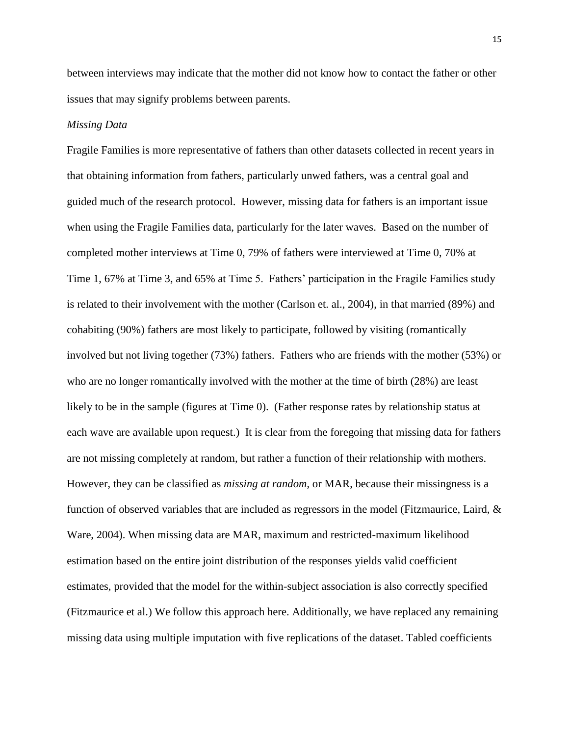between interviews may indicate that the mother did not know how to contact the father or other issues that may signify problems between parents.

#### *Missing Data*

Fragile Families is more representative of fathers than other datasets collected in recent years in that obtaining information from fathers, particularly unwed fathers, was a central goal and guided much of the research protocol. However, missing data for fathers is an important issue when using the Fragile Families data, particularly for the later waves. Based on the number of completed mother interviews at Time 0, 79% of fathers were interviewed at Time 0, 70% at Time 1, 67% at Time 3, and 65% at Time 5. Fathers' participation in the Fragile Families study is related to their involvement with the mother (Carlson et. al., 2004), in that married (89%) and cohabiting (90%) fathers are most likely to participate, followed by visiting (romantically involved but not living together (73%) fathers. Fathers who are friends with the mother (53%) or who are no longer romantically involved with the mother at the time of birth (28%) are least likely to be in the sample (figures at Time 0). (Father response rates by relationship status at each wave are available upon request.) It is clear from the foregoing that missing data for fathers are not missing completely at random, but rather a function of their relationship with mothers. However, they can be classified as *missing at random*, or MAR, because their missingness is a function of observed variables that are included as regressors in the model (Fitzmaurice, Laird,  $\&$ Ware, 2004). When missing data are MAR, maximum and restricted-maximum likelihood estimation based on the entire joint distribution of the responses yields valid coefficient estimates, provided that the model for the within-subject association is also correctly specified (Fitzmaurice et al.) We follow this approach here. Additionally, we have replaced any remaining missing data using multiple imputation with five replications of the dataset. Tabled coefficients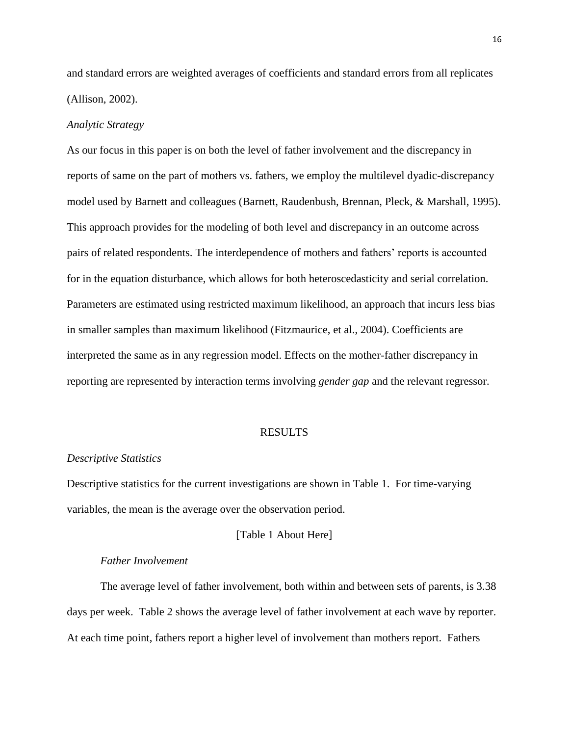and standard errors are weighted averages of coefficients and standard errors from all replicates (Allison, 2002).

#### *Analytic Strategy*

As our focus in this paper is on both the level of father involvement and the discrepancy in reports of same on the part of mothers vs. fathers, we employ the multilevel dyadic-discrepancy model used by Barnett and colleagues (Barnett, Raudenbush, Brennan, Pleck, & Marshall, 1995). This approach provides for the modeling of both level and discrepancy in an outcome across pairs of related respondents. The interdependence of mothers and fathers' reports is accounted for in the equation disturbance, which allows for both heteroscedasticity and serial correlation. Parameters are estimated using restricted maximum likelihood, an approach that incurs less bias in smaller samples than maximum likelihood (Fitzmaurice, et al., 2004). Coefficients are interpreted the same as in any regression model. Effects on the mother-father discrepancy in reporting are represented by interaction terms involving *gender gap* and the relevant regressor.

# RESULTS

#### *Descriptive Statistics*

Descriptive statistics for the current investigations are shown in Table 1. For time-varying variables, the mean is the average over the observation period.

#### [Table 1 About Here]

### *Father Involvement*

The average level of father involvement, both within and between sets of parents, is 3.38 days per week. Table 2 shows the average level of father involvement at each wave by reporter. At each time point, fathers report a higher level of involvement than mothers report. Fathers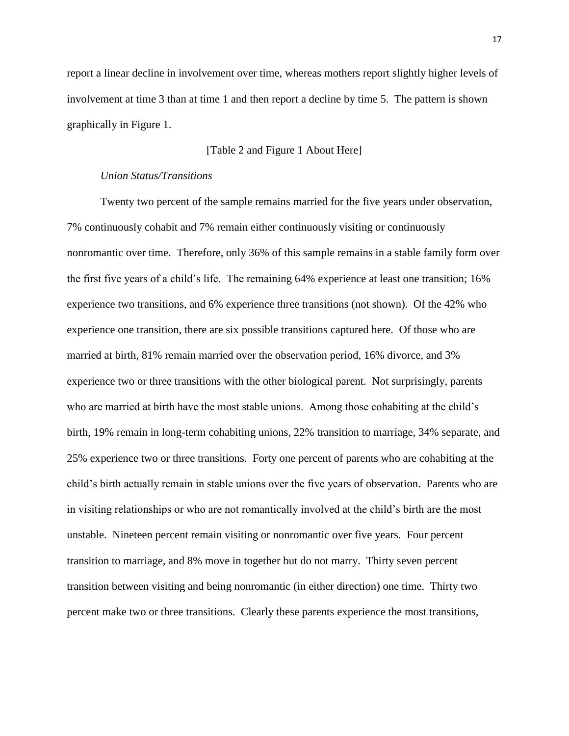report a linear decline in involvement over time, whereas mothers report slightly higher levels of involvement at time 3 than at time 1 and then report a decline by time 5. The pattern is shown graphically in Figure 1.

# [Table 2 and Figure 1 About Here]

## *Union Status/Transitions*

Twenty two percent of the sample remains married for the five years under observation, 7% continuously cohabit and 7% remain either continuously visiting or continuously nonromantic over time. Therefore, only 36% of this sample remains in a stable family form over the first five years of a child's life. The remaining 64% experience at least one transition; 16% experience two transitions, and 6% experience three transitions (not shown). Of the 42% who experience one transition, there are six possible transitions captured here. Of those who are married at birth, 81% remain married over the observation period, 16% divorce, and 3% experience two or three transitions with the other biological parent. Not surprisingly, parents who are married at birth have the most stable unions. Among those cohabiting at the child's birth, 19% remain in long-term cohabiting unions, 22% transition to marriage, 34% separate, and 25% experience two or three transitions. Forty one percent of parents who are cohabiting at the child's birth actually remain in stable unions over the five years of observation. Parents who are in visiting relationships or who are not romantically involved at the child's birth are the most unstable. Nineteen percent remain visiting or nonromantic over five years. Four percent transition to marriage, and 8% move in together but do not marry. Thirty seven percent transition between visiting and being nonromantic (in either direction) one time. Thirty two percent make two or three transitions. Clearly these parents experience the most transitions,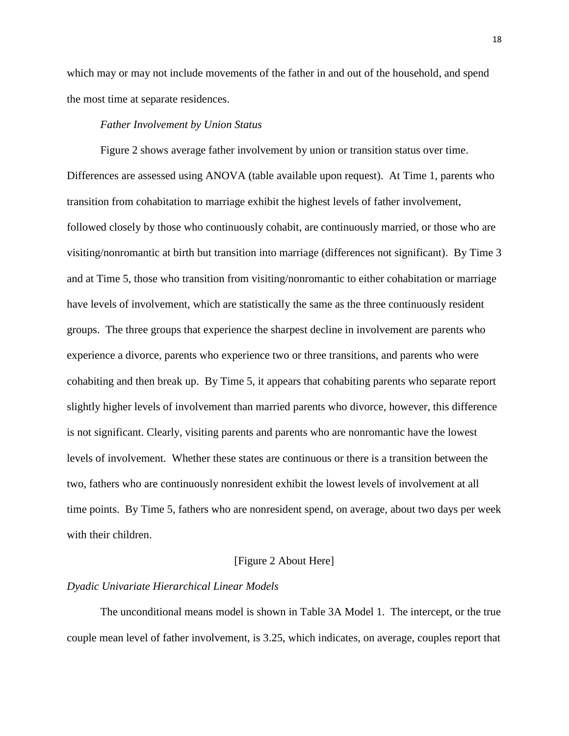which may or may not include movements of the father in and out of the household, and spend the most time at separate residences.

## *Father Involvement by Union Status*

Figure 2 shows average father involvement by union or transition status over time. Differences are assessed using ANOVA (table available upon request). At Time 1, parents who transition from cohabitation to marriage exhibit the highest levels of father involvement, followed closely by those who continuously cohabit, are continuously married, or those who are visiting/nonromantic at birth but transition into marriage (differences not significant). By Time 3 and at Time 5, those who transition from visiting/nonromantic to either cohabitation or marriage have levels of involvement, which are statistically the same as the three continuously resident groups. The three groups that experience the sharpest decline in involvement are parents who experience a divorce, parents who experience two or three transitions, and parents who were cohabiting and then break up. By Time 5, it appears that cohabiting parents who separate report slightly higher levels of involvement than married parents who divorce, however, this difference is not significant. Clearly, visiting parents and parents who are nonromantic have the lowest levels of involvement. Whether these states are continuous or there is a transition between the two, fathers who are continuously nonresident exhibit the lowest levels of involvement at all time points. By Time 5, fathers who are nonresident spend, on average, about two days per week with their children.

#### [Figure 2 About Here]

## *Dyadic Univariate Hierarchical Linear Models*

The unconditional means model is shown in Table 3A Model 1. The intercept, or the true couple mean level of father involvement, is 3.25, which indicates, on average, couples report that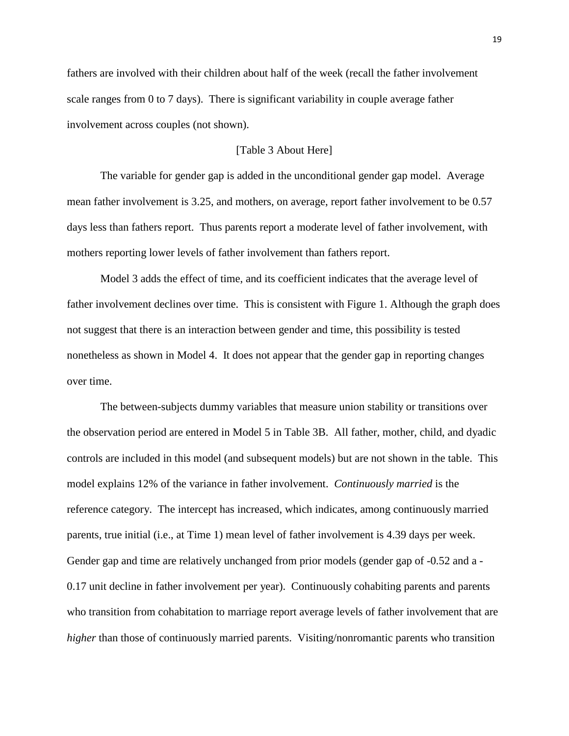fathers are involved with their children about half of the week (recall the father involvement scale ranges from 0 to 7 days). There is significant variability in couple average father involvement across couples (not shown).

# [Table 3 About Here]

The variable for gender gap is added in the unconditional gender gap model. Average mean father involvement is 3.25, and mothers, on average, report father involvement to be 0.57 days less than fathers report. Thus parents report a moderate level of father involvement, with mothers reporting lower levels of father involvement than fathers report.

Model 3 adds the effect of time, and its coefficient indicates that the average level of father involvement declines over time. This is consistent with Figure 1. Although the graph does not suggest that there is an interaction between gender and time, this possibility is tested nonetheless as shown in Model 4. It does not appear that the gender gap in reporting changes over time.

The between-subjects dummy variables that measure union stability or transitions over the observation period are entered in Model 5 in Table 3B. All father, mother, child, and dyadic controls are included in this model (and subsequent models) but are not shown in the table. This model explains 12% of the variance in father involvement. *Continuously married* is the reference category. The intercept has increased, which indicates, among continuously married parents, true initial (i.e., at Time 1) mean level of father involvement is 4.39 days per week. Gender gap and time are relatively unchanged from prior models (gender gap of -0.52 and a - 0.17 unit decline in father involvement per year). Continuously cohabiting parents and parents who transition from cohabitation to marriage report average levels of father involvement that are *higher* than those of continuously married parents. Visiting/nonromantic parents who transition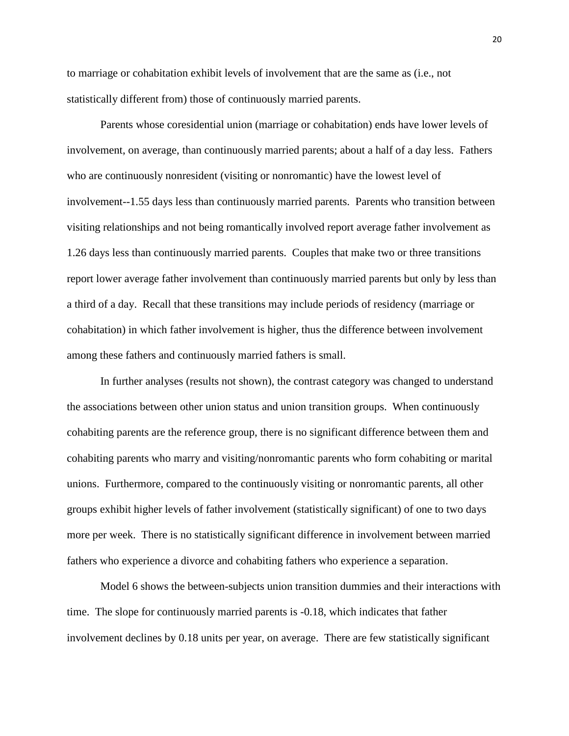to marriage or cohabitation exhibit levels of involvement that are the same as (i.e., not statistically different from) those of continuously married parents.

Parents whose coresidential union (marriage or cohabitation) ends have lower levels of involvement, on average, than continuously married parents; about a half of a day less. Fathers who are continuously nonresident (visiting or nonromantic) have the lowest level of involvement--1.55 days less than continuously married parents. Parents who transition between visiting relationships and not being romantically involved report average father involvement as 1.26 days less than continuously married parents. Couples that make two or three transitions report lower average father involvement than continuously married parents but only by less than a third of a day. Recall that these transitions may include periods of residency (marriage or cohabitation) in which father involvement is higher, thus the difference between involvement among these fathers and continuously married fathers is small.

In further analyses (results not shown), the contrast category was changed to understand the associations between other union status and union transition groups. When continuously cohabiting parents are the reference group, there is no significant difference between them and cohabiting parents who marry and visiting/nonromantic parents who form cohabiting or marital unions. Furthermore, compared to the continuously visiting or nonromantic parents, all other groups exhibit higher levels of father involvement (statistically significant) of one to two days more per week. There is no statistically significant difference in involvement between married fathers who experience a divorce and cohabiting fathers who experience a separation.

Model 6 shows the between-subjects union transition dummies and their interactions with time. The slope for continuously married parents is -0.18, which indicates that father involvement declines by 0.18 units per year, on average. There are few statistically significant

20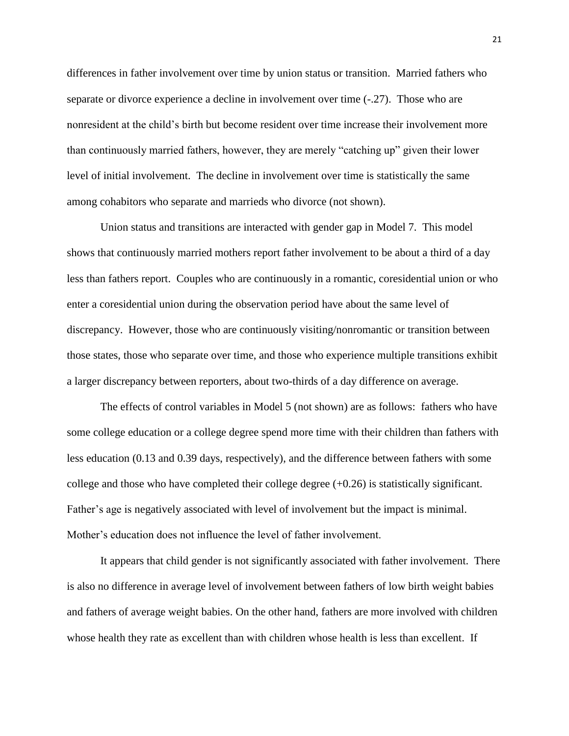differences in father involvement over time by union status or transition. Married fathers who separate or divorce experience a decline in involvement over time (-.27). Those who are nonresident at the child's birth but become resident over time increase their involvement more than continuously married fathers, however, they are merely "catching up" given their lower level of initial involvement. The decline in involvement over time is statistically the same among cohabitors who separate and marrieds who divorce (not shown).

Union status and transitions are interacted with gender gap in Model 7. This model shows that continuously married mothers report father involvement to be about a third of a day less than fathers report. Couples who are continuously in a romantic, coresidential union or who enter a coresidential union during the observation period have about the same level of discrepancy. However, those who are continuously visiting/nonromantic or transition between those states, those who separate over time, and those who experience multiple transitions exhibit a larger discrepancy between reporters, about two-thirds of a day difference on average.

The effects of control variables in Model 5 (not shown) are as follows: fathers who have some college education or a college degree spend more time with their children than fathers with less education (0.13 and 0.39 days, respectively), and the difference between fathers with some college and those who have completed their college degree  $(+0.26)$  is statistically significant. Father's age is negatively associated with level of involvement but the impact is minimal. Mother's education does not influence the level of father involvement.

It appears that child gender is not significantly associated with father involvement. There is also no difference in average level of involvement between fathers of low birth weight babies and fathers of average weight babies. On the other hand, fathers are more involved with children whose health they rate as excellent than with children whose health is less than excellent. If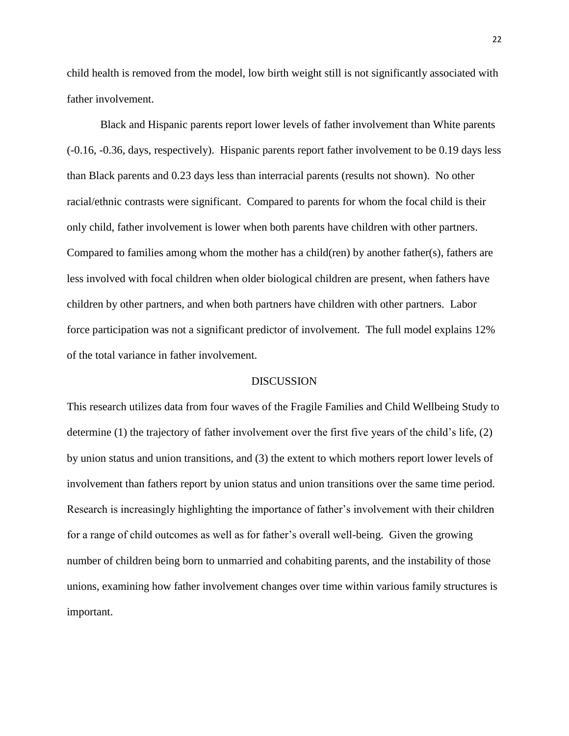child health is removed from the model, low birth weight still is not significantly associated with father involvement.

Black and Hispanic parents report lower levels of father involvement than White parents (-0.16, -0.36, days, respectively). Hispanic parents report father involvement to be 0.19 days less than Black parents and 0.23 days less than interracial parents (results not shown). No other racial/ethnic contrasts were significant. Compared to parents for whom the focal child is their only child, father involvement is lower when both parents have children with other partners. Compared to families among whom the mother has a child(ren) by another father(s), fathers are less involved with focal children when older biological children are present, when fathers have children by other partners, and when both partners have children with other partners. Labor force participation was not a significant predictor of involvement. The full model explains 12% of the total variance in father involvement.

# **DISCUSSION**

This research utilizes data from four waves of the Fragile Families and Child Wellbeing Study to determine (1) the trajectory of father involvement over the first five years of the child's life, (2) by union status and union transitions, and (3) the extent to which mothers report lower levels of involvement than fathers report by union status and union transitions over the same time period. Research is increasingly highlighting the importance of father's involvement with their children for a range of child outcomes as well as for father's overall well-being. Given the growing number of children being born to unmarried and cohabiting parents, and the instability of those unions, examining how father involvement changes over time within various family structures is important.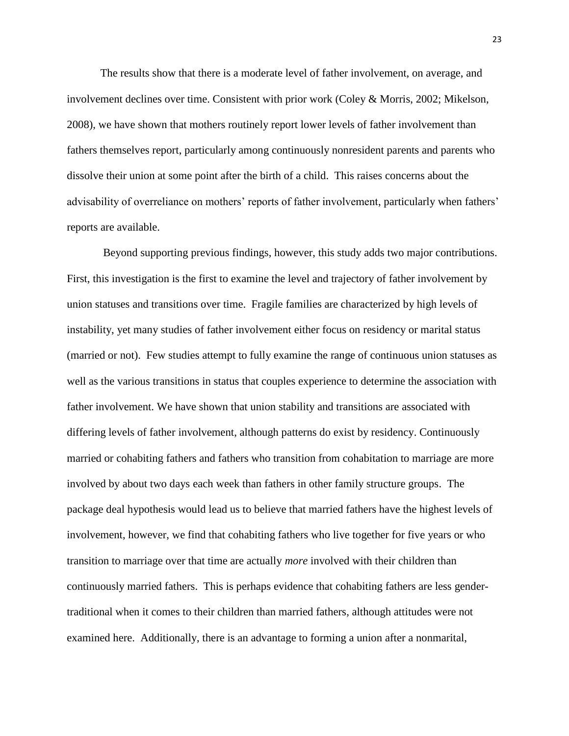The results show that there is a moderate level of father involvement, on average, and involvement declines over time. Consistent with prior work (Coley & Morris, 2002; Mikelson, 2008), we have shown that mothers routinely report lower levels of father involvement than fathers themselves report, particularly among continuously nonresident parents and parents who dissolve their union at some point after the birth of a child. This raises concerns about the advisability of overreliance on mothers' reports of father involvement, particularly when fathers' reports are available.

Beyond supporting previous findings, however, this study adds two major contributions. First, this investigation is the first to examine the level and trajectory of father involvement by union statuses and transitions over time. Fragile families are characterized by high levels of instability, yet many studies of father involvement either focus on residency or marital status (married or not). Few studies attempt to fully examine the range of continuous union statuses as well as the various transitions in status that couples experience to determine the association with father involvement. We have shown that union stability and transitions are associated with differing levels of father involvement, although patterns do exist by residency. Continuously married or cohabiting fathers and fathers who transition from cohabitation to marriage are more involved by about two days each week than fathers in other family structure groups. The package deal hypothesis would lead us to believe that married fathers have the highest levels of involvement, however, we find that cohabiting fathers who live together for five years or who transition to marriage over that time are actually *more* involved with their children than continuously married fathers. This is perhaps evidence that cohabiting fathers are less gendertraditional when it comes to their children than married fathers, although attitudes were not examined here. Additionally, there is an advantage to forming a union after a nonmarital,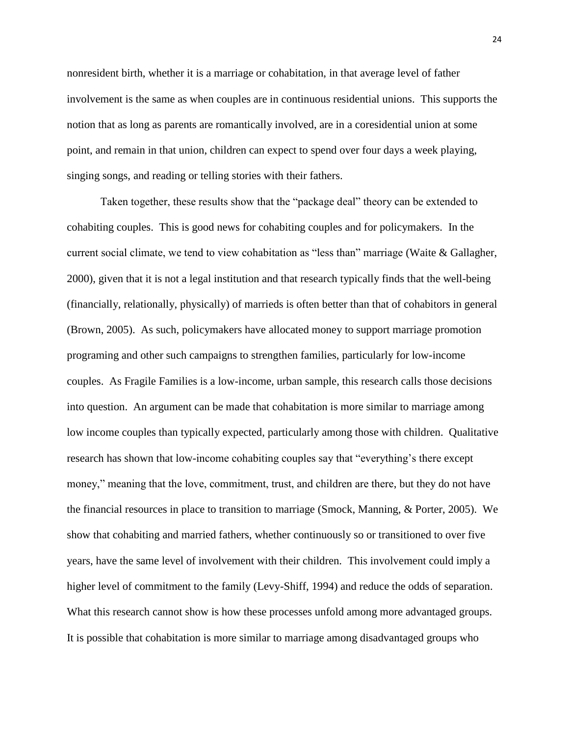nonresident birth, whether it is a marriage or cohabitation, in that average level of father involvement is the same as when couples are in continuous residential unions. This supports the notion that as long as parents are romantically involved, are in a coresidential union at some point, and remain in that union, children can expect to spend over four days a week playing, singing songs, and reading or telling stories with their fathers.

Taken together, these results show that the "package deal" theory can be extended to cohabiting couples. This is good news for cohabiting couples and for policymakers. In the current social climate, we tend to view cohabitation as "less than" marriage (Waite & Gallagher, 2000), given that it is not a legal institution and that research typically finds that the well-being (financially, relationally, physically) of marrieds is often better than that of cohabitors in general (Brown, 2005). As such, policymakers have allocated money to support marriage promotion programing and other such campaigns to strengthen families, particularly for low-income couples. As Fragile Families is a low-income, urban sample, this research calls those decisions into question. An argument can be made that cohabitation is more similar to marriage among low income couples than typically expected, particularly among those with children. Qualitative research has shown that low-income cohabiting couples say that "everything's there except money," meaning that the love, commitment, trust, and children are there, but they do not have the financial resources in place to transition to marriage (Smock, Manning, & Porter, 2005). We show that cohabiting and married fathers, whether continuously so or transitioned to over five years, have the same level of involvement with their children. This involvement could imply a higher level of commitment to the family (Levy-Shiff, 1994) and reduce the odds of separation. What this research cannot show is how these processes unfold among more advantaged groups. It is possible that cohabitation is more similar to marriage among disadvantaged groups who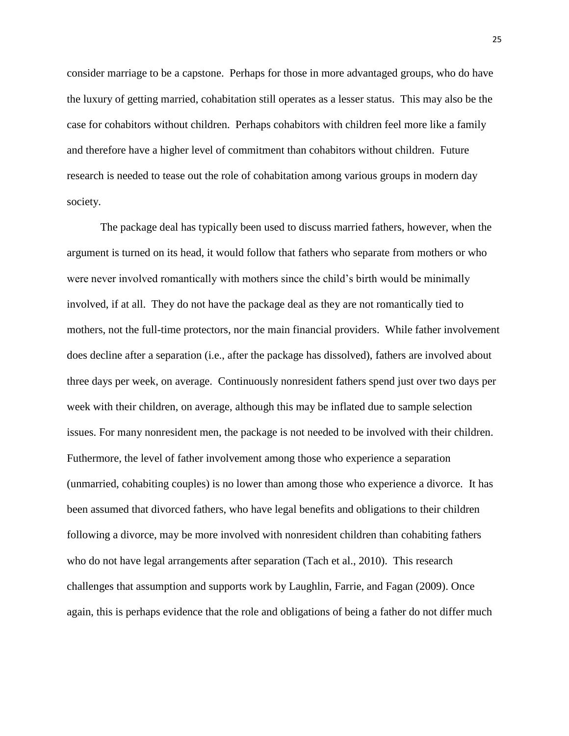consider marriage to be a capstone. Perhaps for those in more advantaged groups, who do have the luxury of getting married, cohabitation still operates as a lesser status. This may also be the case for cohabitors without children. Perhaps cohabitors with children feel more like a family and therefore have a higher level of commitment than cohabitors without children. Future research is needed to tease out the role of cohabitation among various groups in modern day society.

The package deal has typically been used to discuss married fathers, however, when the argument is turned on its head, it would follow that fathers who separate from mothers or who were never involved romantically with mothers since the child's birth would be minimally involved, if at all. They do not have the package deal as they are not romantically tied to mothers, not the full-time protectors, nor the main financial providers. While father involvement does decline after a separation (i.e., after the package has dissolved), fathers are involved about three days per week, on average. Continuously nonresident fathers spend just over two days per week with their children, on average, although this may be inflated due to sample selection issues. For many nonresident men, the package is not needed to be involved with their children. Futhermore, the level of father involvement among those who experience a separation (unmarried, cohabiting couples) is no lower than among those who experience a divorce. It has been assumed that divorced fathers, who have legal benefits and obligations to their children following a divorce, may be more involved with nonresident children than cohabiting fathers who do not have legal arrangements after separation (Tach et al., 2010). This research challenges that assumption and supports work by Laughlin, Farrie, and Fagan (2009). Once again, this is perhaps evidence that the role and obligations of being a father do not differ much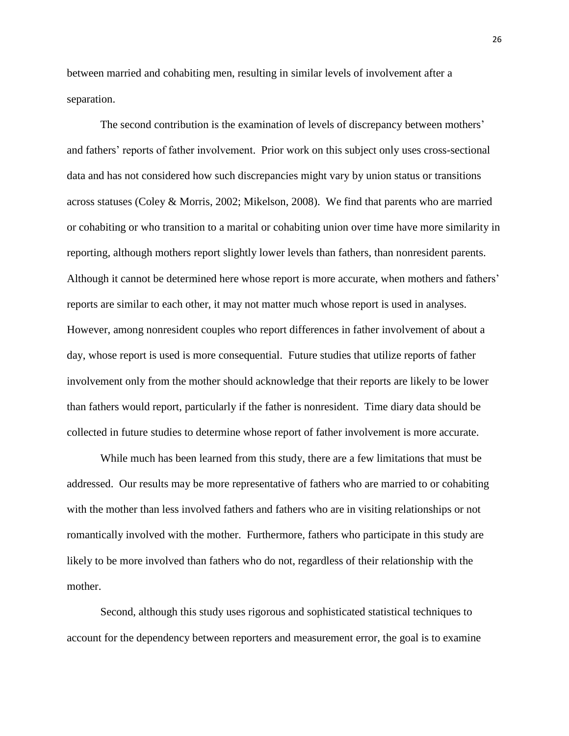between married and cohabiting men, resulting in similar levels of involvement after a separation.

The second contribution is the examination of levels of discrepancy between mothers' and fathers' reports of father involvement. Prior work on this subject only uses cross-sectional data and has not considered how such discrepancies might vary by union status or transitions across statuses (Coley & Morris, 2002; Mikelson, 2008). We find that parents who are married or cohabiting or who transition to a marital or cohabiting union over time have more similarity in reporting, although mothers report slightly lower levels than fathers, than nonresident parents. Although it cannot be determined here whose report is more accurate, when mothers and fathers' reports are similar to each other, it may not matter much whose report is used in analyses. However, among nonresident couples who report differences in father involvement of about a day, whose report is used is more consequential. Future studies that utilize reports of father involvement only from the mother should acknowledge that their reports are likely to be lower than fathers would report, particularly if the father is nonresident. Time diary data should be collected in future studies to determine whose report of father involvement is more accurate.

While much has been learned from this study, there are a few limitations that must be addressed. Our results may be more representative of fathers who are married to or cohabiting with the mother than less involved fathers and fathers who are in visiting relationships or not romantically involved with the mother. Furthermore, fathers who participate in this study are likely to be more involved than fathers who do not, regardless of their relationship with the mother.

Second, although this study uses rigorous and sophisticated statistical techniques to account for the dependency between reporters and measurement error, the goal is to examine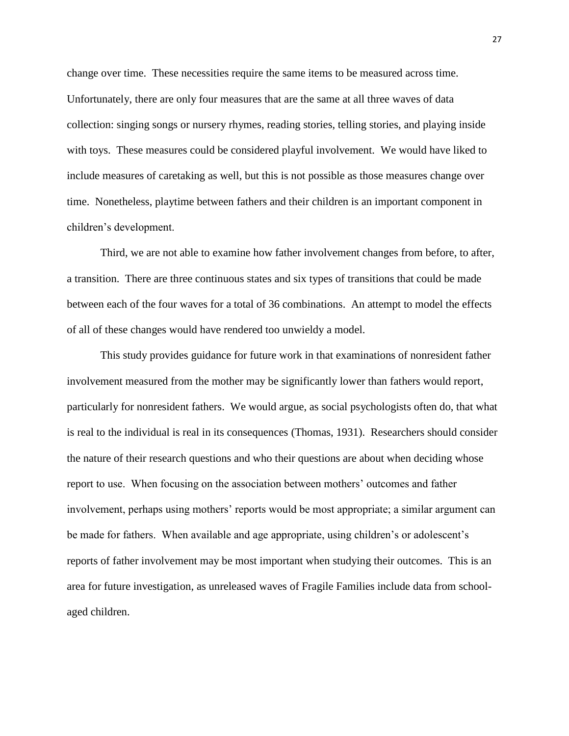change over time. These necessities require the same items to be measured across time. Unfortunately, there are only four measures that are the same at all three waves of data collection: singing songs or nursery rhymes, reading stories, telling stories, and playing inside with toys. These measures could be considered playful involvement. We would have liked to include measures of caretaking as well, but this is not possible as those measures change over time. Nonetheless, playtime between fathers and their children is an important component in children's development.

Third, we are not able to examine how father involvement changes from before, to after, a transition. There are three continuous states and six types of transitions that could be made between each of the four waves for a total of 36 combinations. An attempt to model the effects of all of these changes would have rendered too unwieldy a model.

This study provides guidance for future work in that examinations of nonresident father involvement measured from the mother may be significantly lower than fathers would report, particularly for nonresident fathers. We would argue, as social psychologists often do, that what is real to the individual is real in its consequences (Thomas, 1931). Researchers should consider the nature of their research questions and who their questions are about when deciding whose report to use. When focusing on the association between mothers' outcomes and father involvement, perhaps using mothers' reports would be most appropriate; a similar argument can be made for fathers. When available and age appropriate, using children's or adolescent's reports of father involvement may be most important when studying their outcomes. This is an area for future investigation, as unreleased waves of Fragile Families include data from schoolaged children.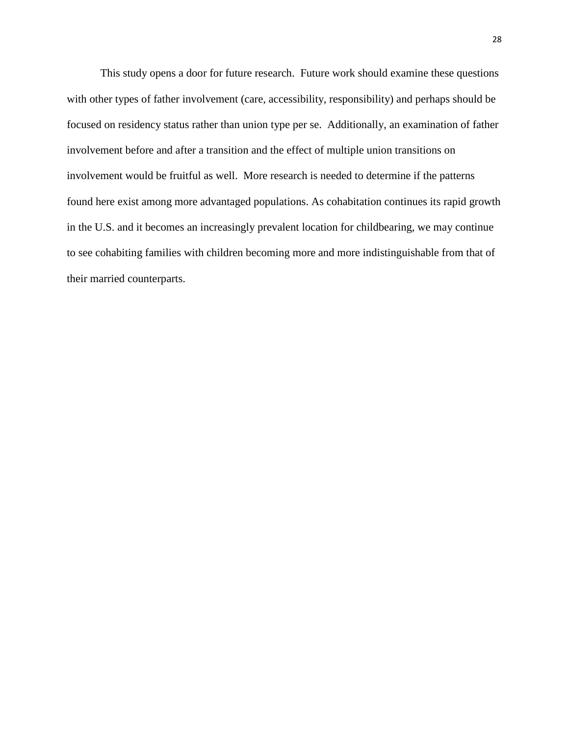This study opens a door for future research. Future work should examine these questions with other types of father involvement (care, accessibility, responsibility) and perhaps should be focused on residency status rather than union type per se. Additionally, an examination of father involvement before and after a transition and the effect of multiple union transitions on involvement would be fruitful as well. More research is needed to determine if the patterns found here exist among more advantaged populations. As cohabitation continues its rapid growth in the U.S. and it becomes an increasingly prevalent location for childbearing, we may continue to see cohabiting families with children becoming more and more indistinguishable from that of their married counterparts.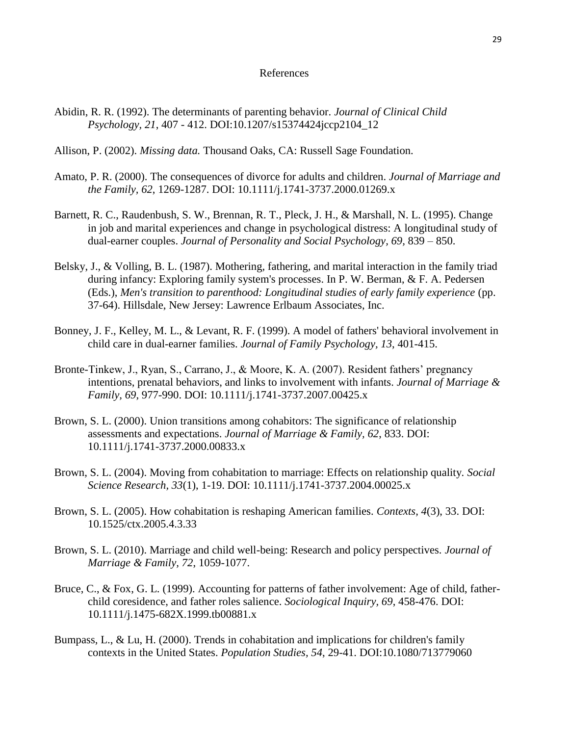#### References

- Abidin, R. R. (1992). The determinants of parenting behavior. *Journal of Clinical Child Psychology, 21*, 407 - 412. DOI:10.1207/s15374424jccp2104\_12
- Allison, P. (2002). *Missing data.* Thousand Oaks, CA: Russell Sage Foundation.
- Amato, P. R. (2000). The consequences of divorce for adults and children. *Journal of Marriage and the Family, 62*, 1269-1287. DOI: 10.1111/j.1741-3737.2000.01269.x
- Barnett, R. C., Raudenbush, S. W., Brennan, R. T., Pleck, J. H., & Marshall, N. L. (1995). Change in job and marital experiences and change in psychological distress: A longitudinal study of dual-earner couples. *Journal of Personality and Social Psychology, 69,* 839 – 850.
- Belsky, J., & Volling, B. L. (1987). Mothering, fathering, and marital interaction in the family triad during infancy: Exploring family system's processes. In P. W. Berman, & F. A. Pedersen (Eds.), *Men's transition to parenthood: Longitudinal studies of early family experience* (pp. 37-64). Hillsdale, New Jersey: Lawrence Erlbaum Associates, Inc.
- Bonney, J. F., Kelley, M. L., & Levant, R. F. (1999). A model of fathers' behavioral involvement in child care in dual-earner families. *Journal of Family Psychology, 13*, 401-415.
- Bronte-Tinkew, J., Ryan, S., Carrano, J., & Moore, K. A. (2007). Resident fathers' pregnancy intentions, prenatal behaviors, and links to involvement with infants. *Journal of Marriage & Family, 69*, 977-990. DOI: 10.1111/j.1741-3737.2007.00425.x
- Brown, S. L. (2000). Union transitions among cohabitors: The significance of relationship assessments and expectations. *Journal of Marriage & Family, 62*, 833. DOI: 10.1111/j.1741-3737.2000.00833.x
- Brown, S. L. (2004). Moving from cohabitation to marriage: Effects on relationship quality. *Social Science Research, 33*(1), 1-19. DOI: 10.1111/j.1741-3737.2004.00025.x
- Brown, S. L. (2005). How cohabitation is reshaping American families. *Contexts, 4*(3), 33. DOI: 10.1525/ctx.2005.4.3.33
- Brown, S. L. (2010). Marriage and child well-being: Research and policy perspectives. *Journal of Marriage & Family, 72*, 1059-1077.
- Bruce, C., & Fox, G. L. (1999). Accounting for patterns of father involvement: Age of child, fatherchild coresidence, and father roles salience. *Sociological Inquiry, 69*, 458-476. DOI: 10.1111/j.1475-682X.1999.tb00881.x
- Bumpass, L., & Lu, H. (2000). Trends in cohabitation and implications for children's family contexts in the United States. *Population Studies, 54*, 29-41. DOI:10.1080/713779060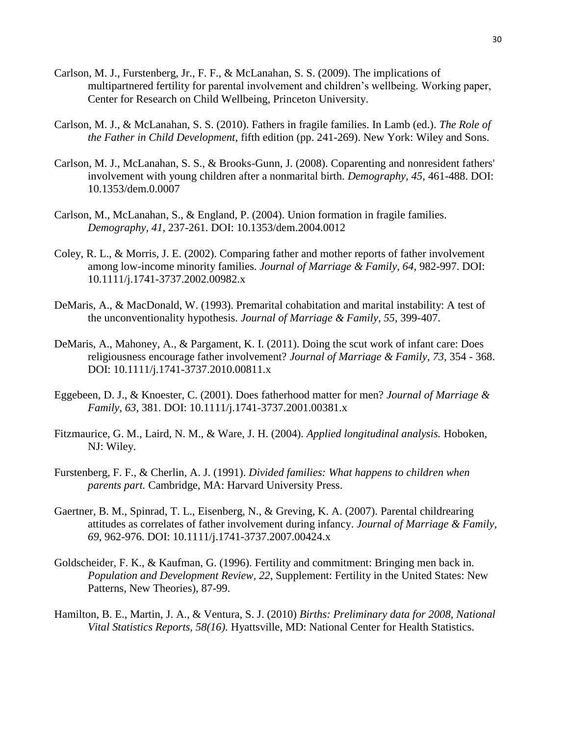- Carlson, M. J., Furstenberg, Jr., F. F., & McLanahan, S. S. (2009). The implications of multipartnered fertility for parental involvement and children's wellbeing. Working paper, Center for Research on Child Wellbeing, Princeton University.
- Carlson, M. J., & McLanahan, S. S. (2010). Fathers in fragile families. In Lamb (ed.). *The Role of the Father in Child Development*, fifth edition (pp. 241-269). New York: Wiley and Sons.
- Carlson, M. J., McLanahan, S. S., & Brooks-Gunn, J. (2008). Coparenting and nonresident fathers' involvement with young children after a nonmarital birth. *Demography, 45*, 461-488. DOI: 10.1353/dem.0.0007
- Carlson, M., McLanahan, S., & England, P. (2004). Union formation in fragile families. *Demography, 41*, 237-261. DOI: 10.1353/dem.2004.0012
- Coley, R. L., & Morris, J. E. (2002). Comparing father and mother reports of father involvement among low-income minority families. *Journal of Marriage & Family, 64*, 982-997. DOI: 10.1111/j.1741-3737.2002.00982.x
- DeMaris, A., & MacDonald, W. (1993). Premarital cohabitation and marital instability: A test of the unconventionality hypothesis. *Journal of Marriage & Family, 55*, 399-407.
- DeMaris, A., Mahoney, A., & Pargament, K. I. (2011). Doing the scut work of infant care: Does religiousness encourage father involvement? *Journal of Marriage & Family, 73*, 354 - 368. DOI: 10.1111/j.1741-3737.2010.00811.x
- Eggebeen, D. J., & Knoester, C. (2001). Does fatherhood matter for men? *Journal of Marriage & Family, 63*, 381. DOI: 10.1111/j.1741-3737.2001.00381.x
- Fitzmaurice, G. M., Laird, N. M., & Ware, J. H. (2004). *Applied longitudinal analysis.* Hoboken, NJ: Wiley.
- Furstenberg, F. F., & Cherlin, A. J. (1991). *Divided families: What happens to children when parents part.* Cambridge, MA: Harvard University Press.
- Gaertner, B. M., Spinrad, T. L., Eisenberg, N., & Greving, K. A. (2007). Parental childrearing attitudes as correlates of father involvement during infancy. *Journal of Marriage & Family, 69*, 962-976. DOI: 10.1111/j.1741-3737.2007.00424.x
- Goldscheider, F. K., & Kaufman, G. (1996). Fertility and commitment: Bringing men back in. *Population and Development Review, 22*, Supplement: Fertility in the United States: New Patterns, New Theories), 87-99.
- Hamilton, B. E., Martin, J. A., & Ventura, S. J. (2010) *Births: Preliminary data for 2008, National Vital Statistics Reports, 58(16).* Hyattsville, MD: National Center for Health Statistics.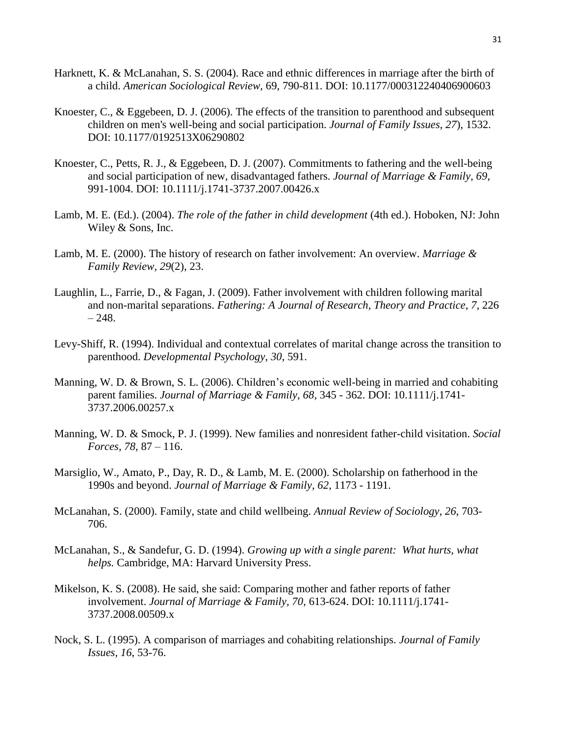- Harknett, K. & McLanahan, S. S. (2004). Race and ethnic differences in marriage after the birth of a child. *American Sociological Review,* 69, 790-811. DOI: 10.1177/000312240406900603
- Knoester, C., & Eggebeen, D. J. (2006). The effects of the transition to parenthood and subsequent children on men's well-being and social participation. *Journal of Family Issues, 27*), 1532. DOI: 10.1177/0192513X06290802
- Knoester, C., Petts, R. J., & Eggebeen, D. J. (2007). Commitments to fathering and the well-being and social participation of new, disadvantaged fathers. *Journal of Marriage & Family, 69*, 991-1004. DOI: 10.1111/j.1741-3737.2007.00426.x
- Lamb, M. E. (Ed.). (2004). *The role of the father in child development* (4th ed.). Hoboken, NJ: John Wiley & Sons, Inc.
- Lamb, M. E. (2000). The history of research on father involvement: An overview. *Marriage & Family Review, 29*(2), 23.
- Laughlin, L., Farrie, D., & Fagan, J. (2009). Father involvement with children following marital and non-marital separations. *Fathering: A Journal of Research, Theory and Practice*, *7,* 226  $-248.$
- Levy-Shiff, R. (1994). Individual and contextual correlates of marital change across the transition to parenthood. *Developmental Psychology, 30*, 591.
- Manning, W. D. & Brown, S. L. (2006). Children's economic well-being in married and cohabiting parent families. *Journal of Marriage & Family, 68*, 345 - 362. DOI: 10.1111/j.1741- 3737.2006.00257.x
- Manning, W. D. & Smock, P. J. (1999). New families and nonresident father-child visitation. *Social Forces, 78,* 87 – 116.
- Marsiglio, W., Amato, P., Day, R. D., & Lamb, M. E. (2000). Scholarship on fatherhood in the 1990s and beyond. *Journal of Marriage & Family, 62*, 1173 - 1191.
- McLanahan, S. (2000). Family, state and child wellbeing. *Annual Review of Sociology*, *26*, 703- 706.
- McLanahan, S., & Sandefur, G. D. (1994). *Growing up with a single parent: What hurts, what helps.* Cambridge, MA: Harvard University Press.
- Mikelson, K. S. (2008). He said, she said: Comparing mother and father reports of father involvement. *Journal of Marriage & Family, 70*, 613-624. DOI: 10.1111/j.1741- 3737.2008.00509.x
- Nock, S. L. (1995). A comparison of marriages and cohabiting relationships. *Journal of Family Issues, 16*, 53-76.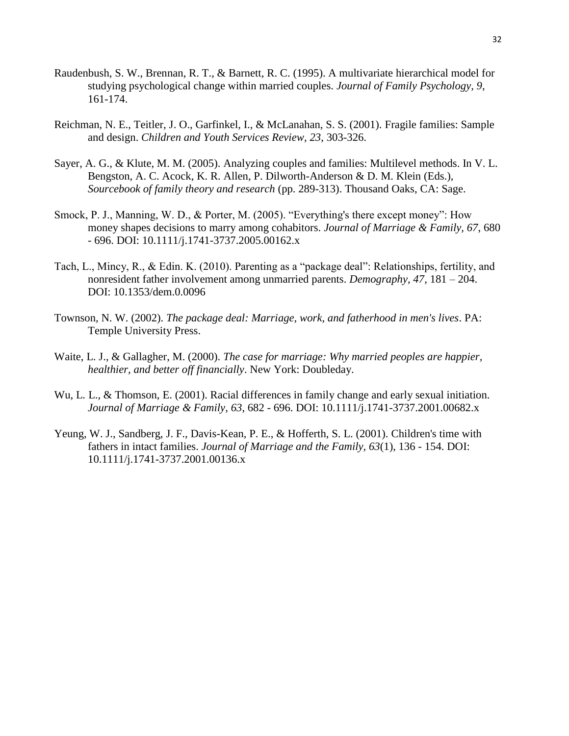- Raudenbush, S. W., Brennan, R. T., & Barnett, R. C. (1995). A multivariate hierarchical model for studying psychological change within married couples. *Journal of Family Psychology, 9*, 161-174.
- Reichman, N. E., Teitler, J. O., Garfinkel, I., & McLanahan, S. S. (2001). Fragile families: Sample and design. *Children and Youth Services Review, 23*, 303-326.
- Sayer, A. G., & Klute, M. M. (2005). Analyzing couples and families: Multilevel methods. In V. L. Bengston, A. C. Acock, K. R. Allen, P. Dilworth-Anderson & D. M. Klein (Eds.), *Sourcebook of family theory and research* (pp. 289-313). Thousand Oaks, CA: Sage.
- Smock, P. J., Manning, W. D., & Porter, M. (2005). "Everything's there except money": How money shapes decisions to marry among cohabitors. *Journal of Marriage & Family, 67*, 680 - 696. DOI: 10.1111/j.1741-3737.2005.00162.x
- Tach, L., Mincy, R., & Edin. K. (2010). Parenting as a "package deal": Relationships, fertility, and nonresident father involvement among unmarried parents. *Demography, 47,* 181 – 204. DOI: 10.1353/dem.0.0096
- Townson, N. W. (2002). *The package deal: Marriage, work, and fatherhood in men's lives*. PA: Temple University Press.
- Waite, L. J., & Gallagher, M. (2000). *The case for marriage: Why married peoples are happier, healthier, and better off financially*. New York: Doubleday.
- Wu, L. L., & Thomson, E. (2001). Racial differences in family change and early sexual initiation. *Journal of Marriage & Family, 63*, 682 - 696. DOI: 10.1111/j.1741-3737.2001.00682.x
- Yeung, W. J., Sandberg, J. F., Davis-Kean, P. E., & Hofferth, S. L. (2001). Children's time with fathers in intact families. *Journal of Marriage and the Family, 63*(1), 136 - 154. DOI: 10.1111/j.1741-3737.2001.00136.x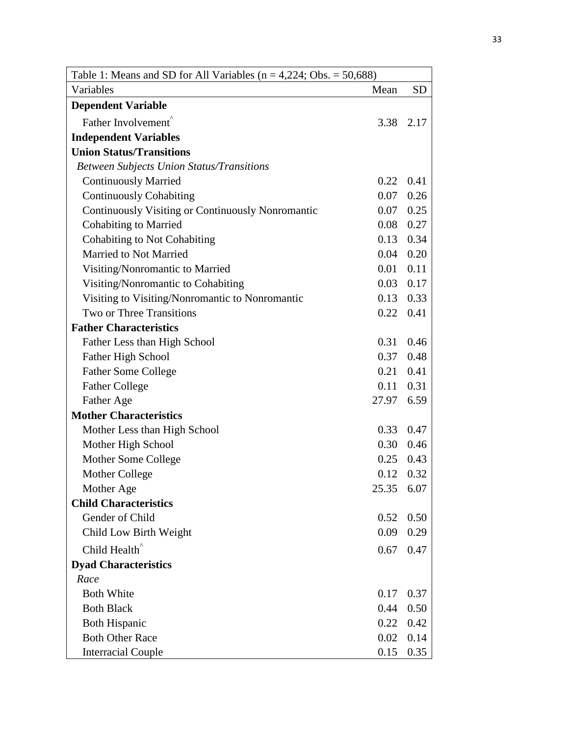| Table 1: Means and SD for All Variables ( $n = 4,224$ ; Obs. = 50,688) |       |             |
|------------------------------------------------------------------------|-------|-------------|
| Variables                                                              | Mean  | <b>SD</b>   |
| <b>Dependent Variable</b>                                              |       |             |
| Father Involvement                                                     | 3.38  | 2.17        |
| <b>Independent Variables</b>                                           |       |             |
| <b>Union Status/Transitions</b>                                        |       |             |
| <b>Between Subjects Union Status/Transitions</b>                       |       |             |
| <b>Continuously Married</b>                                            | 0.22  | 0.41        |
| <b>Continuously Cohabiting</b>                                         | 0.07  | 0.26        |
| Continuously Visiting or Continuously Nonromantic                      | 0.07  | 0.25        |
| <b>Cohabiting to Married</b>                                           | 0.08  | 0.27        |
| Cohabiting to Not Cohabiting                                           | 0.13  | 0.34        |
| Married to Not Married                                                 | 0.04  | 0.20        |
| Visiting/Nonromantic to Married                                        | 0.01  | 0.11        |
| Visiting/Nonromantic to Cohabiting                                     | 0.03  | 0.17        |
| Visiting to Visiting/Nonromantic to Nonromantic                        | 0.13  | 0.33        |
| Two or Three Transitions                                               | 0.22  | 0.41        |
| <b>Father Characteristics</b>                                          |       |             |
| Father Less than High School                                           | 0.31  | 0.46        |
| Father High School                                                     | 0.37  | 0.48        |
| <b>Father Some College</b>                                             | 0.21  | 0.41        |
| <b>Father College</b>                                                  | 0.11  | 0.31        |
| Father Age                                                             | 27.97 | 6.59        |
| <b>Mother Characteristics</b>                                          |       |             |
| Mother Less than High School                                           | 0.33  | 0.47        |
| Mother High School                                                     | 0.30  | 0.46        |
| Mother Some College                                                    |       | $0.25$ 0.43 |
| Mother College                                                         | 0.12  | 0.32        |
| Mother Age                                                             | 25.35 | 6.07        |
| <b>Child Characteristics</b>                                           |       |             |
| Gender of Child                                                        | 0.52  | 0.50        |
| Child Low Birth Weight                                                 | 0.09  | 0.29        |
| Child Health <sup>^</sup>                                              | 0.67  | 0.47        |
| <b>Dyad Characteristics</b>                                            |       |             |
| Race                                                                   |       |             |
| <b>Both White</b>                                                      | 0.17  | 0.37        |
| <b>Both Black</b>                                                      | 0.44  | 0.50        |
| <b>Both Hispanic</b>                                                   | 0.22  | 0.42        |
| <b>Both Other Race</b>                                                 | 0.02  | 0.14        |
| <b>Interracial Couple</b>                                              | 0.15  | 0.35        |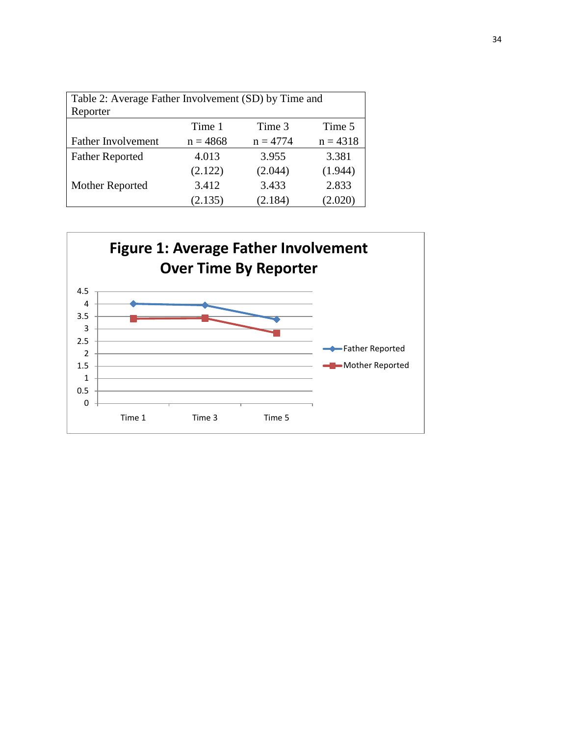| Table 2: Average Father Involvement (SD) by Time and |            |            |            |
|------------------------------------------------------|------------|------------|------------|
| Reporter                                             |            |            |            |
|                                                      | Time 1     | Time 3     | Time 5     |
| <b>Father Involvement</b>                            | $n = 4868$ | $n = 4774$ | $n = 4318$ |
| <b>Father Reported</b>                               | 4.013      | 3.955      | 3.381      |
|                                                      | (2.122)    | (2.044)    | (1.944)    |
| Mother Reported                                      | 3.412      | 3.433      | 2.833      |
|                                                      | (2.135)    | (2.184)    | (2.020)    |

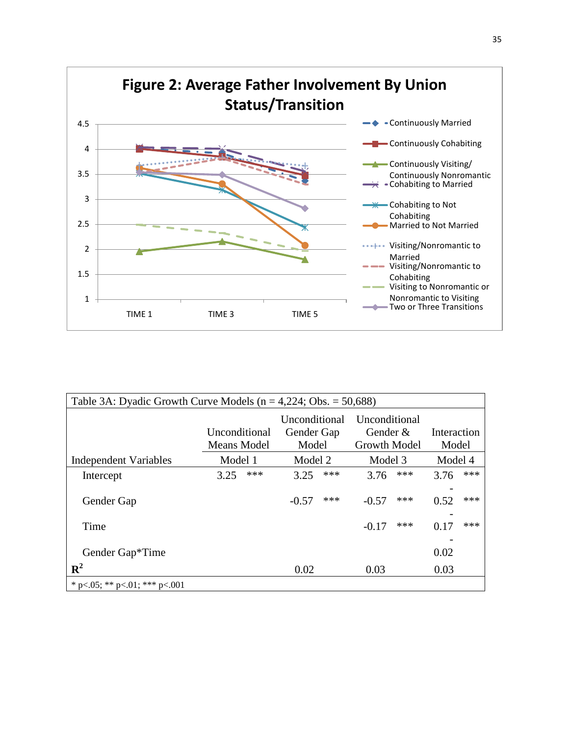

| Table 3A: Dyadic Growth Curve Models ( $n = 4,224$ ; Obs. = 50,688) |                              |                                             |                                                  |                      |  |
|---------------------------------------------------------------------|------------------------------|---------------------------------------------|--------------------------------------------------|----------------------|--|
|                                                                     | Unconditional<br>Means Model | <b>Unconditional</b><br>Gender Gap<br>Model | Unconditional<br>Gender &<br><b>Growth Model</b> | Interaction<br>Model |  |
| <b>Independent Variables</b>                                        | Model 1                      | Model 2                                     | Model 3                                          | Model 4              |  |
| Intercept                                                           | ***<br>3.25                  | ***<br>3.25                                 | ***<br>3.76                                      | ***<br>3.76          |  |
| Gender Gap                                                          |                              | ***<br>$-0.57$                              | ***<br>$-0.57$                                   | ***<br>0.52          |  |
| Time                                                                |                              |                                             | ***<br>$-0.17$                                   | ***<br>0.17          |  |
| Gender Gap*Time                                                     |                              |                                             |                                                  | 0.02                 |  |
| ${\bf R}^2$                                                         |                              | 0.02                                        | 0.03                                             | 0.03                 |  |
| * p<.05; ** p<.01; *** p<.001                                       |                              |                                             |                                                  |                      |  |